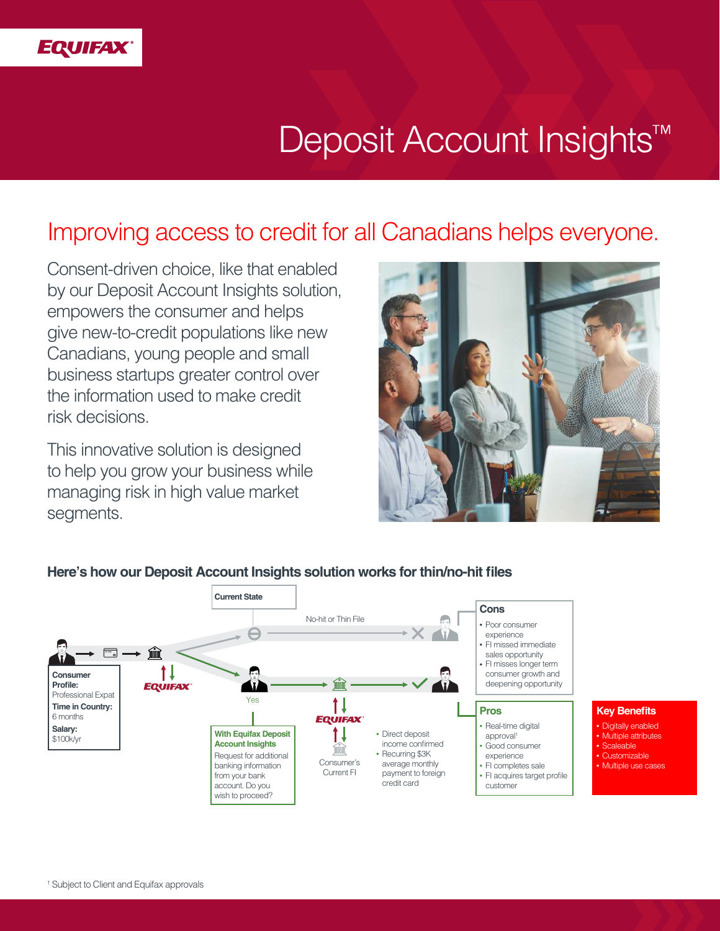

# Deposit Account Insights<sup>™</sup>

# Improving access to credit for all Canadians helps everyone.

Consent-driven choice, like that enabled by our Deposit Account Insights solution, empowers the consumer and helps give new-to-credit populations like new Canadians, young people and small business startups greater control over the information used to make credit risk decisions.

This innovative solution is designed to help you grow your business while managing risk in high value market segments.





#### **Here's how our Deposit Account Insights solution works for thin/no-hit files**